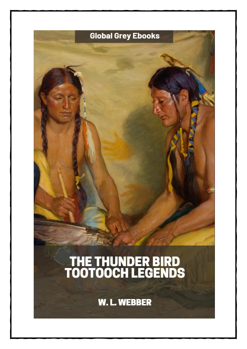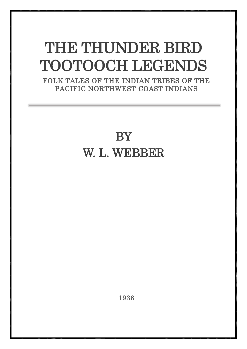## THE THUNDER BIRD TOOTOOCH LEGENDS FOLK TALES OF THE INDIAN TRIBES OF THE

PACIFIC NORTHWEST COAST INDIANS

## **BY** W. L. WEBBER

1936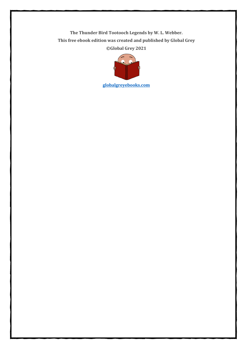**The Thunder Bird Tootooch Legends by W. L. Webber. This free ebook edition was created and published by Global Grey ©Global Grey 2021**



**[globalgreyebooks.com](https://www.globalgreyebooks.com/index.html)**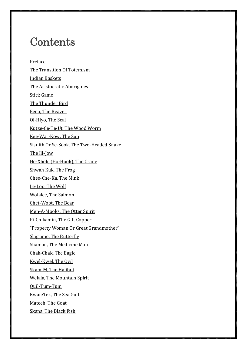## **Contents**

[Preface](#page-5-0) [The Transition Of Totemism](#page-6-0) [Indian Baskets](#page-9-0) [The Aristocratic Aborigines](#page-12-0) [Stick Game](#page-13-0) [The Thunder Bird](#page-14-0) [Eena, The Beaver](#page-15-0) [Ol-Hiyo, The Seal](#page-16-0) [Kutze-Ce-Te-Ut, The Wood Worm](#page-17-0) [Kee-War-Kow, The Sun](#page-18-0) [Sisuith Or Se-Sook, The Two-Headed Snake](#page-19-0) [The Ill-Jow](#page-20-0) [Ho-Xhok, \(Ho-Hook\),](#page-21-0) The Crane [Shwah Kuk, The Frog](#page-22-0) [Chee-Che-Ka, The Mink](#page-23-0) [Le-Loo, The Wolf](#page-24-0) [Wolalee, The Salmon](#page-25-0) [Chet-Woot, The Bear](#page-26-0) [Men-A-Mooks, The Otter Spirit](#page-27-0) [Pi-Chikamin, The Gift Copper](#page-28-0) ["Property Woman Or Great Grandmother"](#page-29-0) [Slag'ame, The Butterfly](#page-30-0) [Shaman, The Medicine Man](#page-31-0) [Chak-Chak, The Eagle](#page-32-0) [Kwel-Kwel, The Owl](#page-33-0) [Skam-M, The Halibut](#page-34-0) [Welala, The Mountain Spirit](#page-35-0) [Quil-Tum-Tum](#page-36-0) [Kwaie'tek, The Sea Gull](#page-37-0) [Mateeh, The Goat](#page-38-0) [Skana, The Black Fish](#page-39-0)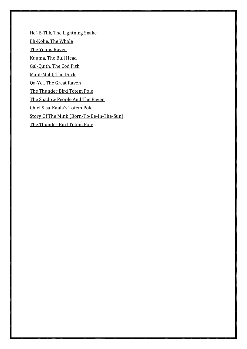[He'-E-Tlik, The Lightning Snake](#page-40-0) [Eh-Kolie, The Whale](#page-41-0) [The Young Raven](#page-42-0) [Kuuma, The Bull Head](#page-43-0) [Gal-Quith, The Cod Fish](#page-44-0) [Maht-Maht, The Duck](#page-45-0) [Qa-Yel, The Great Raven](#page-46-0) [The Thunder Bird Totem Pole](#page-47-0) [The Shadow People And The Raven](#page-48-0) [Chief Sisa-Kaula](#page-50-0)'s Totem Pole [Story Of The Mink \(Born-To-Be-In-The-Sun\)](#page-51-0) [The Thunder Bird Totem Pole](#page-54-0)